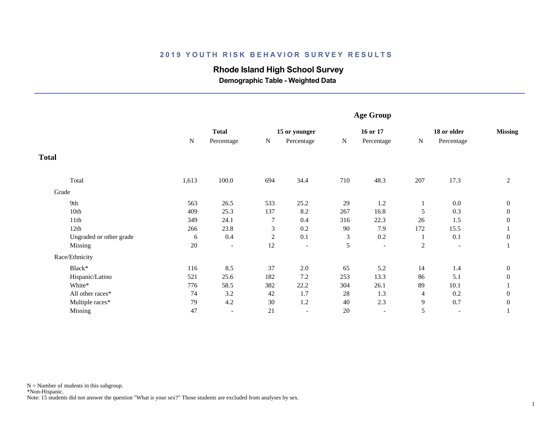## **2019 YOUTH RISK BEHAVIOR SURVEY RESULTS**

 **Rhode Island High School Survey**

 **Demographic Table - Weighted Data**

|                         | <b>Age Group</b> |                          |                |                          |                |                          |             |                          |                |
|-------------------------|------------------|--------------------------|----------------|--------------------------|----------------|--------------------------|-------------|--------------------------|----------------|
|                         |                  | Total                    |                | 15 or younger            |                | 16 or 17                 | 18 or older |                          | <b>Missing</b> |
|                         | N                | Percentage               | ${\bf N}$      | Percentage               | N              | Percentage               | ${\bf N}$   | Percentage               |                |
| <b>Total</b>            |                  |                          |                |                          |                |                          |             |                          |                |
| Total                   | 1,613            | 100.0                    | 694            | 34.4                     | 710            | 48.3                     | 207         | 17.3                     | $\sqrt{2}$     |
| Grade                   |                  |                          |                |                          |                |                          |             |                          |                |
| 9th                     | 563              | 26.5                     | 533            | 25.2                     | 29             | 1.2                      | 1           | 0.0                      | $\overline{0}$ |
| 10th                    | 409              | 25.3                     | 137            | 8.2                      | 267            | 16.8                     | 5           | 0.3                      | $\overline{0}$ |
| 11th                    | 349              | 24.1                     | $\overline{7}$ | 0.4                      | 316            | 22.3                     | 26          | 1.5                      | $\theta$       |
| 12th                    | 266              | 23.8                     | $\mathfrak 3$  | $0.2\,$                  | 90             | 7.9                      | 172         | 15.5                     |                |
| Ungraded or other grade | 6                | 0.4                      | $\sqrt{2}$     | 0.1                      | $\mathfrak{Z}$ | 0.2                      | 1           | 0.1                      | $\theta$       |
| Missing                 | $20\,$           | $\overline{\phantom{a}}$ | 12             | $\overline{\phantom{a}}$ | 5              | $\overline{\phantom{a}}$ | $\sqrt{2}$  | $\overline{\phantom{a}}$ |                |
| Race/Ethnicity          |                  |                          |                |                          |                |                          |             |                          |                |
| Black*                  | 116              | 8.5                      | 37             | 2.0                      | 65             | 5.2                      | 14          | 1.4                      | $\overline{0}$ |
| Hispanic/Latino         | 521              | 25.6                     | 182            | 7.2                      | 253            | 13.3                     | 86          | 5.1                      | $\overline{0}$ |
| White*                  | 776              | 58.5                     | 382            | 22.2                     | 304            | 26.1                     | 89          | 10.1                     |                |
| All other races*        | 74               | 3.2                      | 42             | 1.7                      | 28             | 1.3                      | 4           | 0.2                      | $\overline{0}$ |
| Multiple races*         | 79               | $4.2\,$                  | $30\,$         | $1.2\,$                  | 40             | 2.3                      | 9           | 0.7                      | $\overline{0}$ |
| Missing                 | 47               | $\overline{\phantom{a}}$ | 21             | $\overline{\phantom{a}}$ | $20\,$         | $\overline{\phantom{0}}$ | 5           | $\overline{\phantom{a}}$ |                |

 $N =$  Number of students in this subgroup.

\*Non-Hispanic.

Note: 15 students did not answer the question "What is your sex?" Those students are excluded from analyses by sex.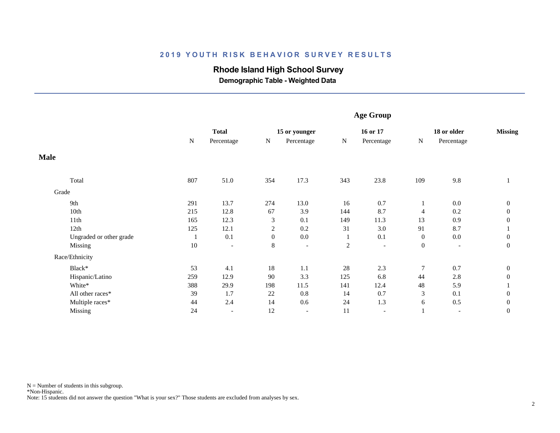## **2019 YOUTH RISK BEHAVIOR SURVEY RESULTS**

 **Rhode Island High School Survey**

 **Demographic Table - Weighted Data**

|                         | <b>Age Group</b> |                          |                  |                          |              |                          |                  |                          |                |
|-------------------------|------------------|--------------------------|------------------|--------------------------|--------------|--------------------------|------------------|--------------------------|----------------|
|                         |                  | <b>Total</b>             |                  | 15 or younger            |              | 16 or 17                 |                  | 18 or older              | <b>Missing</b> |
|                         | N                | Percentage               | ${\bf N}$        | Percentage               | ${\bf N}$    | Percentage               | ${\bf N}$        | Percentage               |                |
| <b>Male</b>             |                  |                          |                  |                          |              |                          |                  |                          |                |
| Total                   | 807              | 51.0                     | 354              | 17.3                     | 343          | 23.8                     | 109              | 9.8                      |                |
| Grade                   |                  |                          |                  |                          |              |                          |                  |                          |                |
| 9th                     | 291              | 13.7                     | 274              | 13.0                     | 16           | 0.7                      |                  | $0.0\,$                  | $\overline{0}$ |
| 10th                    | 215              | 12.8                     | 67               | 3.9                      | 144          | 8.7                      | 4                | 0.2                      | $\overline{0}$ |
| 11th                    | 165              | 12.3                     | 3                | 0.1                      | 149          | 11.3                     | 13               | 0.9                      | $\theta$       |
| 12th                    | 125              | 12.1                     | $\overline{c}$   | 0.2                      | 31           | 3.0                      | 91               | 8.7                      |                |
| Ungraded or other grade |                  | 0.1                      | $\boldsymbol{0}$ | 0.0                      | $\mathbf{1}$ | 0.1                      | $\boldsymbol{0}$ | 0.0                      | $\overline{0}$ |
| Missing                 | 10               | $\overline{\phantom{a}}$ | $\,8\,$          | $\overline{\phantom{a}}$ | $\sqrt{2}$   | $\overline{\phantom{a}}$ | $\boldsymbol{0}$ | $\overline{\phantom{a}}$ | $\overline{0}$ |
| Race/Ethnicity          |                  |                          |                  |                          |              |                          |                  |                          |                |
| Black*                  | 53               | 4.1                      | 18               | 1.1                      | $28\,$       | 2.3                      | 7                | 0.7                      | $\overline{0}$ |
| Hispanic/Latino         | 259              | 12.9                     | 90               | 3.3                      | 125          | 6.8                      | 44               | 2.8                      | $\overline{0}$ |
| White*                  | 388              | 29.9                     | 198              | 11.5                     | 141          | 12.4                     | 48               | 5.9                      |                |
| All other races*        | 39               | 1.7                      | 22               | 0.8                      | 14           | 0.7                      | 3                | 0.1                      | $\overline{0}$ |
| Multiple races*         | 44               | 2.4                      | 14               | $0.6\,$                  | 24           | 1.3                      | 6                | 0.5                      | $\overline{0}$ |
| Missing                 | 24               | $\overline{\phantom{a}}$ | 12               | $\overline{\phantom{a}}$ | 11           | $\overline{\phantom{a}}$ |                  | $\overline{\phantom{a}}$ | $\mathbf{0}$   |

 $N =$  Number of students in this subgroup.

\*Non-Hispanic.

Note: 15 students did not answer the question "What is your sex?" Those students are excluded from analyses by sex.